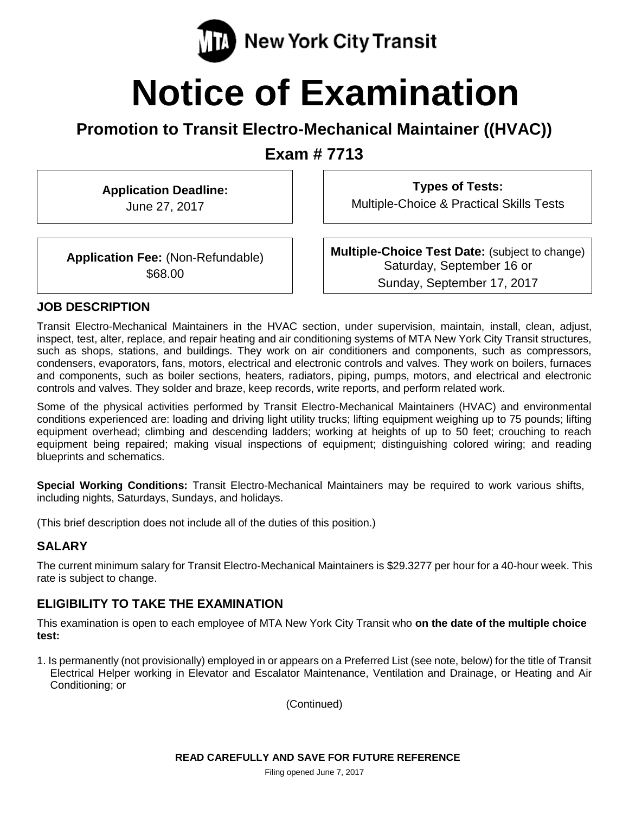

# **Notice of Examination**

## **Promotion to Transit Electro-Mechanical Maintainer ((HVAC))**

**Exam # 7713**

**Application Deadline:** June 27, 2017

**Types of Tests:**

Multiple-Choice & Practical Skills Tests

**Application Fee:** (Non-Refundable) \$68.00

**Multiple-Choice Test Date:** (subject to change) Saturday, September 16 or Sunday, September 17, 2017

#### **JOB DESCRIPTION**

Transit Electro-Mechanical Maintainers in the HVAC section, under supervision, maintain, install, clean, adjust, inspect, test, alter, replace, and repair heating and air conditioning systems of MTA New York City Transit structures, such as shops, stations, and buildings. They work on air conditioners and components, such as compressors, condensers, evaporators, fans, motors, electrical and electronic controls and valves. They work on boilers, furnaces and components, such as boiler sections, heaters, radiators, piping, pumps, motors, and electrical and electronic controls and valves. They solder and braze, keep records, write reports, and perform related work.

Some of the physical activities performed by Transit Electro-Mechanical Maintainers (HVAC) and environmental conditions experienced are: loading and driving light utility trucks; lifting equipment weighing up to 75 pounds; lifting equipment overhead; climbing and descending ladders; working at heights of up to 50 feet; crouching to reach equipment being repaired; making visual inspections of equipment; distinguishing colored wiring; and reading blueprints and schematics.

**Special Working Conditions:** Transit Electro-Mechanical Maintainers may be required to work various shifts, including nights, Saturdays, Sundays, and holidays.

(This brief description does not include all of the duties of this position.)

## **SALARY**

The current minimum salary for Transit Electro-Mechanical Maintainers is \$29.3277 per hour for a 40-hour week. This rate is subject to change.

#### **ELIGIBILITY TO TAKE THE EXAMINATION**

This examination is open to each employee of MTA New York City Transit who **on the date of the multiple choice test:**

1. Is permanently (not provisionally) employed in or appears on a Preferred List (see note, below) for the title of Transit Electrical Helper working in Elevator and Escalator Maintenance, Ventilation and Drainage, or Heating and Air Conditioning; or

(Continued)

Filing opened June 7, 2017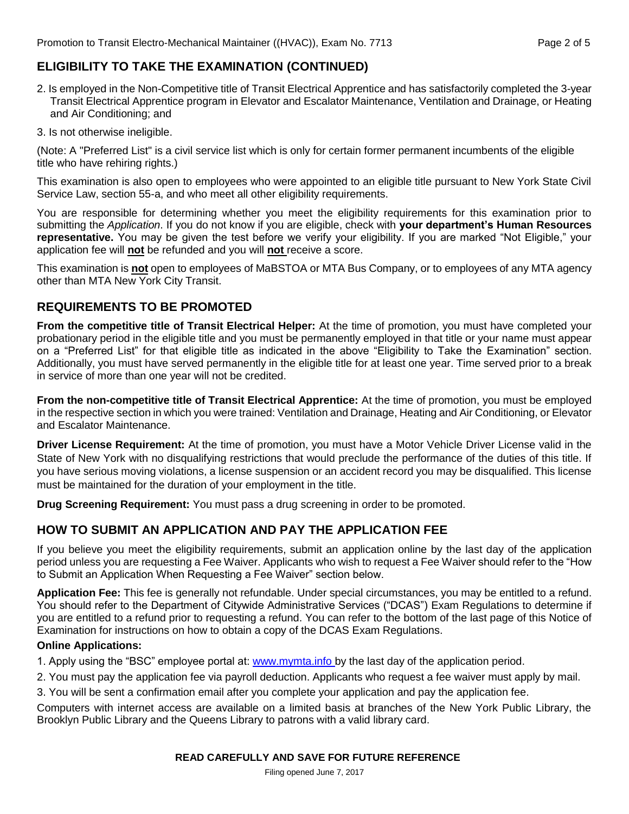## **ELIGIBILITY TO TAKE THE EXAMINATION (CONTINUED)**

- 2. Is employed in the Non-Competitive title of Transit Electrical Apprentice and has satisfactorily completed the 3-year Transit Electrical Apprentice program in Elevator and Escalator Maintenance, Ventilation and Drainage, or Heating and Air Conditioning; and
- 3. Is not otherwise ineligible.

(Note: A "Preferred List" is a civil service list which is only for certain former permanent incumbents of the eligible title who have rehiring rights.)

This examination is also open to employees who were appointed to an eligible title pursuant to New York State Civil Service Law, section 55-a, and who meet all other eligibility requirements.

You are responsible for determining whether you meet the eligibility requirements for this examination prior to submitting the *Application*. If you do not know if you are eligible, check with **your department's Human Resources representative.** You may be given the test before we verify your eligibility. If you are marked "Not Eligible," your application fee will **not** be refunded and you will **not** receive a score.

This examination is **not** open to employees of MaBSTOA or MTA Bus Company, or to employees of any MTA agency other than MTA New York City Transit.

#### **REQUIREMENTS TO BE PROMOTED**

**From the competitive title of Transit Electrical Helper:** At the time of promotion, you must have completed your probationary period in the eligible title and you must be permanently employed in that title or your name must appear on a "Preferred List" for that eligible title as indicated in the above "Eligibility to Take the Examination" section. Additionally, you must have served permanently in the eligible title for at least one year. Time served prior to a break in service of more than one year will not be credited.

**From the non-competitive title of Transit Electrical Apprentice:** At the time of promotion, you must be employed in the respective section in which you were trained: Ventilation and Drainage, Heating and Air Conditioning, or Elevator and Escalator Maintenance.

**Driver License Requirement:** At the time of promotion, you must have a Motor Vehicle Driver License valid in the State of New York with no disqualifying restrictions that would preclude the performance of the duties of this title. If you have serious moving violations, a license suspension or an accident record you may be disqualified. This license must be maintained for the duration of your employment in the title.

**Drug Screening Requirement:** You must pass a drug screening in order to be promoted.

#### **HOW TO SUBMIT AN APPLICATION AND PAY THE APPLICATION FEE**

If you believe you meet the eligibility requirements, submit an application online by the last day of the application period unless you are requesting a Fee Waiver. Applicants who wish to request a Fee Waiver should refer to the "How to Submit an Application When Requesting a Fee Waiver" section below.

**Application Fee:** This fee is generally not refundable. Under special circumstances, you may be entitled to a refund. You should refer to the Department of Citywide Administrative Services ("DCAS") Exam Regulations to determine if you are entitled to a refund prior to requesting a refund. You can refer to the bottom of the last page of this Notice of Examination for instructions on how to obtain a copy of the DCAS Exam Regulations.

#### **Online Applications:**

1. Apply using the "BSC" employee portal at: www.mymta.info by the last day of the application period.

2. You must pay the application fee via payroll deduction. Applicants who request a fee waiver must apply by mail.

3. You will be sent a confirmation email after you complete your application and pay the application fee.

Computers with internet access are available on a limited basis at branches of the New York Public Library, the Brooklyn Public Library and the Queens Library to patrons with a valid library card.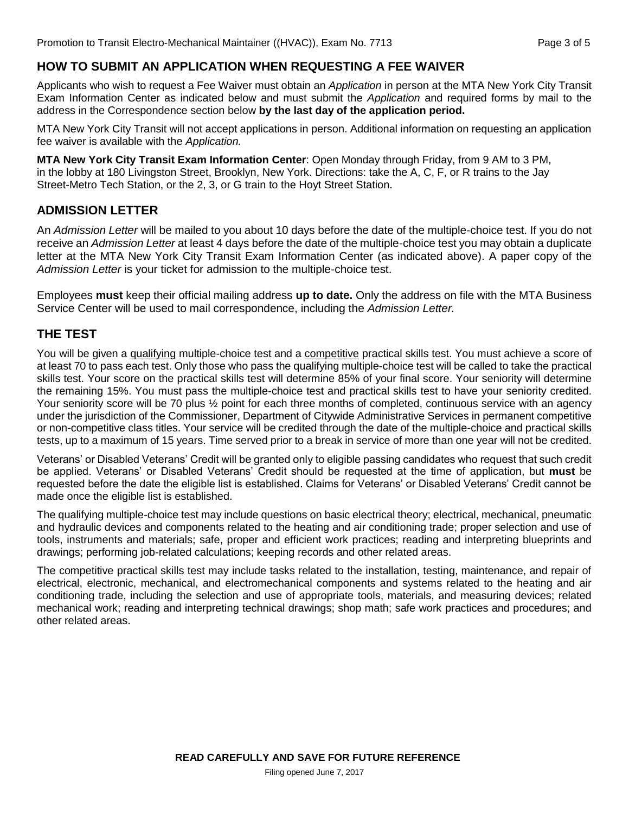## **HOW TO SUBMIT AN APPLICATION WHEN REQUESTING A FEE WAIVER**

Applicants who wish to request a Fee Waiver must obtain an *Application* in person at the MTA New York City Transit Exam Information Center as indicated below and must submit the *Application* and required forms by mail to the address in the Correspondence section below **by the last day of the application period.**

MTA New York City Transit will not accept applications in person. Additional information on requesting an application fee waiver is available with the *Application.* 

**MTA New York City Transit Exam Information Center**: Open Monday through Friday, from 9 AM to 3 PM, in the lobby at 180 Livingston Street, Brooklyn, New York. Directions: take the A, C, F, or R trains to the Jay Street-Metro Tech Station, or the 2, 3, or G train to the Hoyt Street Station.

#### **ADMISSION LETTER**

An *Admission Letter* will be mailed to you about 10 days before the date of the multiple-choice test. If you do not receive an *Admission Letter* at least 4 days before the date of the multiple-choice test you may obtain a duplicate letter at the MTA New York City Transit Exam Information Center (as indicated above). A paper copy of the *Admission Letter* is your ticket for admission to the multiple-choice test.

Employees **must** keep their official mailing address **up to date.** Only the address on file with the MTA Business Service Center will be used to mail correspondence, including the *Admission Letter.*

#### **THE TEST**

You will be given a qualifying multiple-choice test and a competitive practical skills test. You must achieve a score of at least 70 to pass each test. Only those who pass the qualifying multiple-choice test will be called to take the practical skills test. Your score on the practical skills test will determine 85% of your final score. Your seniority will determine the remaining 15%. You must pass the multiple-choice test and practical skills test to have your seniority credited. Your seniority score will be 70 plus  $\frac{1}{2}$  point for each three months of completed, continuous service with an agency under the jurisdiction of the Commissioner, Department of Citywide Administrative Services in permanent competitive or non-competitive class titles. Your service will be credited through the date of the multiple-choice and practical skills tests, up to a maximum of 15 years. Time served prior to a break in service of more than one year will not be credited.

Veterans' or Disabled Veterans' Credit will be granted only to eligible passing candidates who request that such credit be applied. Veterans' or Disabled Veterans' Credit should be requested at the time of application, but **must** be requested before the date the eligible list is established. Claims for Veterans' or Disabled Veterans' Credit cannot be made once the eligible list is established.

The qualifying multiple-choice test may include questions on basic electrical theory; electrical, mechanical, pneumatic and hydraulic devices and components related to the heating and air conditioning trade; proper selection and use of tools, instruments and materials; safe, proper and efficient work practices; reading and interpreting blueprints and drawings; performing job-related calculations; keeping records and other related areas.

The competitive practical skills test may include tasks related to the installation, testing, maintenance, and repair of electrical, electronic, mechanical, and electromechanical components and systems related to the heating and air conditioning trade, including the selection and use of appropriate tools, materials, and measuring devices; related mechanical work; reading and interpreting technical drawings; shop math; safe work practices and procedures; and other related areas.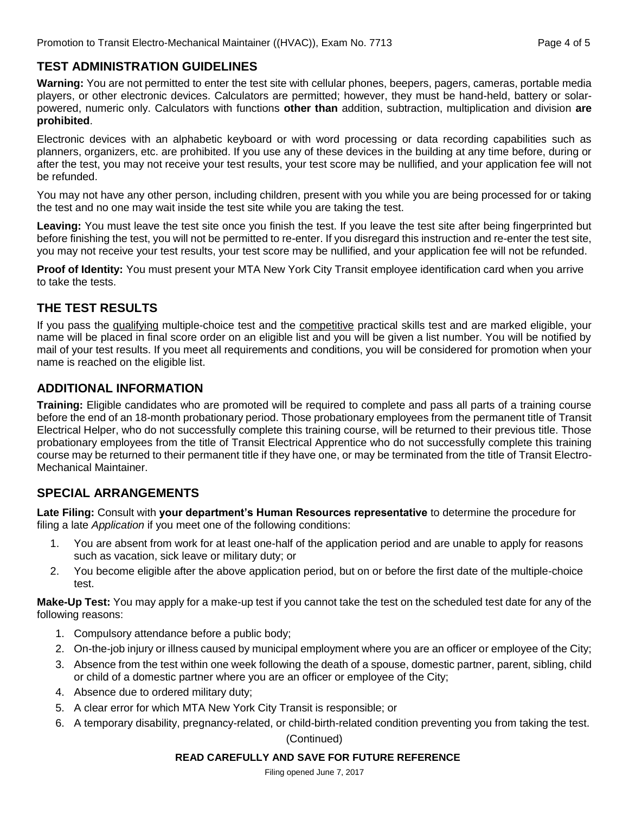## **TEST ADMINISTRATION GUIDELINES**

**Warning:** You are not permitted to enter the test site with cellular phones, beepers, pagers, cameras, portable media players, or other electronic devices. Calculators are permitted; however, they must be hand-held, battery or solarpowered, numeric only. Calculators with functions **other than** addition, subtraction, multiplication and division **are prohibited**.

Electronic devices with an alphabetic keyboard or with word processing or data recording capabilities such as planners, organizers, etc. are prohibited. If you use any of these devices in the building at any time before, during or after the test, you may not receive your test results, your test score may be nullified, and your application fee will not be refunded.

You may not have any other person, including children, present with you while you are being processed for or taking the test and no one may wait inside the test site while you are taking the test.

**Leaving:** You must leave the test site once you finish the test. If you leave the test site after being fingerprinted but before finishing the test, you will not be permitted to re-enter. If you disregard this instruction and re-enter the test site, you may not receive your test results, your test score may be nullified, and your application fee will not be refunded.

**Proof of Identity:** You must present your MTA New York City Transit employee identification card when you arrive to take the tests.

## **THE TEST RESULTS**

If you pass the qualifying multiple-choice test and the competitive practical skills test and are marked eligible, your name will be placed in final score order on an eligible list and you will be given a list number. You will be notified by mail of your test results. If you meet all requirements and conditions, you will be considered for promotion when your name is reached on the eligible list.

## **ADDITIONAL INFORMATION**

**Training:** Eligible candidates who are promoted will be required to complete and pass all parts of a training course before the end of an 18-month probationary period. Those probationary employees from the permanent title of Transit Electrical Helper, who do not successfully complete this training course, will be returned to their previous title. Those probationary employees from the title of Transit Electrical Apprentice who do not successfully complete this training course may be returned to their permanent title if they have one, or may be terminated from the title of Transit Electro-Mechanical Maintainer.

## **SPECIAL ARRANGEMENTS**

**Late Filing:** Consult with **your department's Human Resources representative** to determine the procedure for filing a late *Application* if you meet one of the following conditions:

- 1. You are absent from work for at least one-half of the application period and are unable to apply for reasons such as vacation, sick leave or military duty; or
- 2. You become eligible after the above application period, but on or before the first date of the multiple-choice test.

**Make-Up Test:** You may apply for a make-up test if you cannot take the test on the scheduled test date for any of the following reasons:

- 1. Compulsory attendance before a public body;
- 2. On-the-job injury or illness caused by municipal employment where you are an officer or employee of the City;
- 3. Absence from the test within one week following the death of a spouse, domestic partner, parent, sibling, child or child of a domestic partner where you are an officer or employee of the City;
- 4. Absence due to ordered military duty;
- 5. A clear error for which MTA New York City Transit is responsible; or
- 6. A temporary disability, pregnancy-related, or child-birth-related condition preventing you from taking the test.

#### (Continued)

#### **READ CAREFULLY AND SAVE FOR FUTURE REFERENCE**

Filing opened June 7, 2017